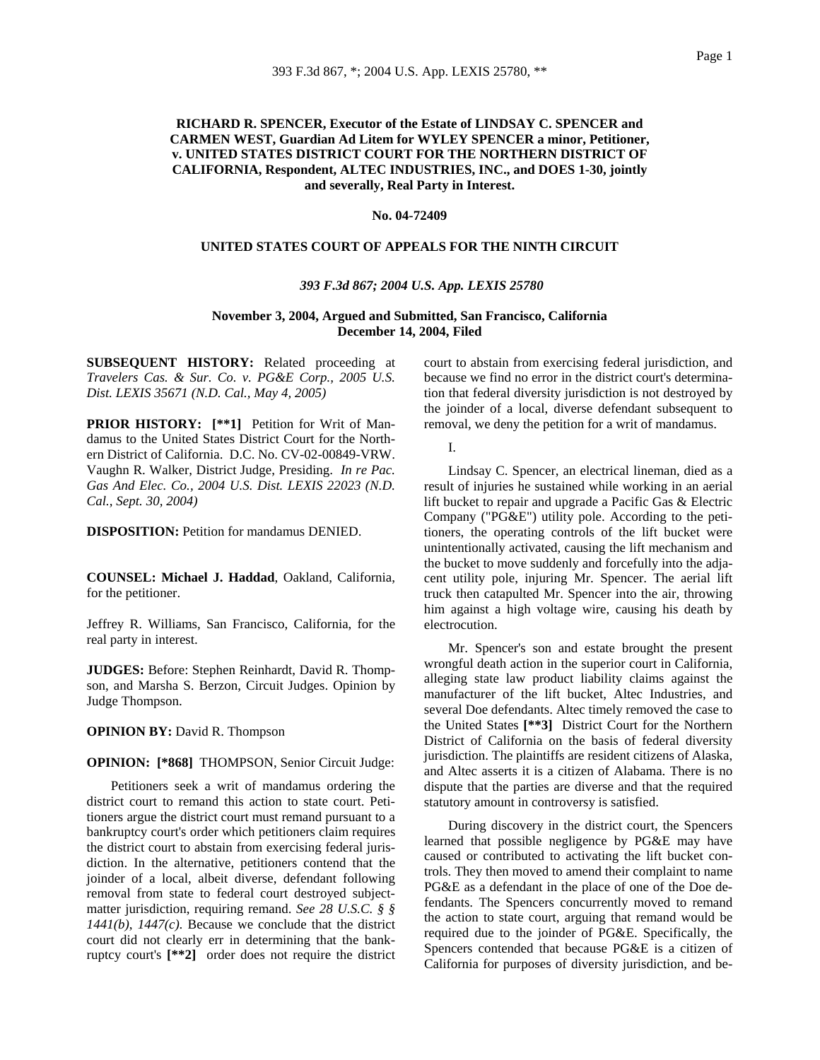# **RICHARD R. SPENCER, Executor of the Estate of LINDSAY C. SPENCER and CARMEN WEST, Guardian Ad Litem for WYLEY SPENCER a minor, Petitioner, v. UNITED STATES DISTRICT COURT FOR THE NORTHERN DISTRICT OF CALIFORNIA, Respondent, ALTEC INDUSTRIES, INC., and DOES 1-30, jointly and severally, Real Party in Interest.**

#### **No. 04-72409**

#### **UNITED STATES COURT OF APPEALS FOR THE NINTH CIRCUIT**

## *393 F.3d 867; 2004 U.S. App. LEXIS 25780*

## **November 3, 2004, Argued and Submitted, San Francisco, California December 14, 2004, Filed**

**SUBSEQUENT HISTORY:** Related proceeding at *Travelers Cas. & Sur. Co. v. PG&E Corp., 2005 U.S. Dist. LEXIS 35671 (N.D. Cal., May 4, 2005)*

**PRIOR HISTORY: [\*\*1]** Petition for Writ of Mandamus to the United States District Court for the Northern District of California. D.C. No. CV-02-00849-VRW. Vaughn R. Walker, District Judge, Presiding. *In re Pac. Gas And Elec. Co., 2004 U.S. Dist. LEXIS 22023 (N.D. Cal., Sept. 30, 2004)*

**DISPOSITION:** Petition for mandamus DENIED.

**COUNSEL: Michael J. Haddad**, Oakland, California, for the petitioner.

Jeffrey R. Williams, San Francisco, California, for the real party in interest.

**JUDGES:** Before: Stephen Reinhardt, David R. Thompson, and Marsha S. Berzon, Circuit Judges. Opinion by Judge Thompson.

**OPINION BY:** David R. Thompson

**OPINION: [\*868]** THOMPSON, Senior Circuit Judge:

Petitioners seek a writ of mandamus ordering the district court to remand this action to state court. Petitioners argue the district court must remand pursuant to a bankruptcy court's order which petitioners claim requires the district court to abstain from exercising federal jurisdiction. In the alternative, petitioners contend that the joinder of a local, albeit diverse, defendant following removal from state to federal court destroyed subjectmatter jurisdiction, requiring remand. *See 28 U.S.C. § § 1441(b)*, *1447(c)*. Because we conclude that the district court did not clearly err in determining that the bankruptcy court's **[\*\*2]** order does not require the district

court to abstain from exercising federal jurisdiction, and because we find no error in the district court's determination that federal diversity jurisdiction is not destroyed by the joinder of a local, diverse defendant subsequent to removal, we deny the petition for a writ of mandamus.

I.

Lindsay C. Spencer, an electrical lineman, died as a result of injuries he sustained while working in an aerial lift bucket to repair and upgrade a Pacific Gas & Electric Company ("PG&E") utility pole. According to the petitioners, the operating controls of the lift bucket were unintentionally activated, causing the lift mechanism and the bucket to move suddenly and forcefully into the adjacent utility pole, injuring Mr. Spencer. The aerial lift truck then catapulted Mr. Spencer into the air, throwing him against a high voltage wire, causing his death by electrocution.

Mr. Spencer's son and estate brought the present wrongful death action in the superior court in California, alleging state law product liability claims against the manufacturer of the lift bucket, Altec Industries, and several Doe defendants. Altec timely removed the case to the United States **[\*\*3]** District Court for the Northern District of California on the basis of federal diversity jurisdiction. The plaintiffs are resident citizens of Alaska, and Altec asserts it is a citizen of Alabama. There is no dispute that the parties are diverse and that the required statutory amount in controversy is satisfied.

During discovery in the district court, the Spencers learned that possible negligence by PG&E may have caused or contributed to activating the lift bucket controls. They then moved to amend their complaint to name PG&E as a defendant in the place of one of the Doe defendants. The Spencers concurrently moved to remand the action to state court, arguing that remand would be required due to the joinder of PG&E. Specifically, the Spencers contended that because PG&E is a citizen of California for purposes of diversity jurisdiction, and be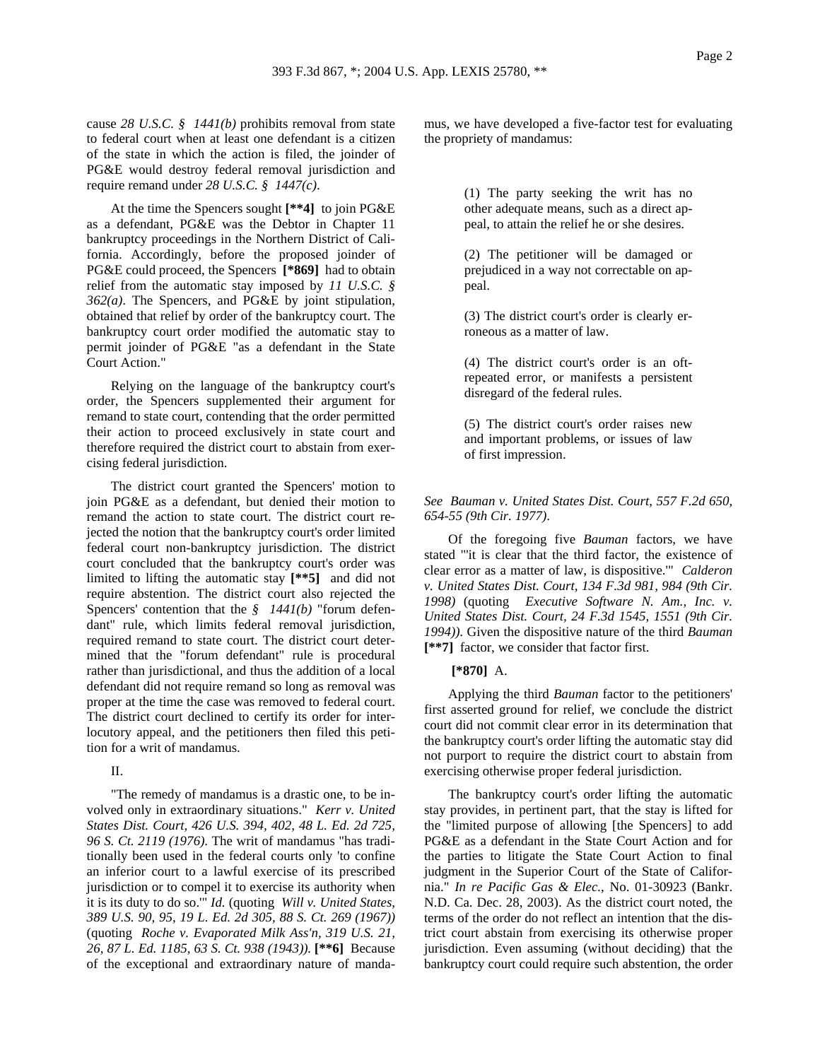cause *28 U.S.C. § 1441(b)* prohibits removal from state to federal court when at least one defendant is a citizen of the state in which the action is filed, the joinder of PG&E would destroy federal removal jurisdiction and require remand under *28 U.S.C. § 1447(c)*.

At the time the Spencers sought **[\*\*4]** to join PG&E as a defendant, PG&E was the Debtor in Chapter 11 bankruptcy proceedings in the Northern District of California. Accordingly, before the proposed joinder of PG&E could proceed, the Spencers **[\*869]** had to obtain relief from the automatic stay imposed by *11 U.S.C. § 362(a)*. The Spencers, and PG&E by joint stipulation, obtained that relief by order of the bankruptcy court. The bankruptcy court order modified the automatic stay to permit joinder of PG&E "as a defendant in the State Court Action."

Relying on the language of the bankruptcy court's order, the Spencers supplemented their argument for remand to state court, contending that the order permitted their action to proceed exclusively in state court and therefore required the district court to abstain from exercising federal jurisdiction.

The district court granted the Spencers' motion to join PG&E as a defendant, but denied their motion to remand the action to state court. The district court rejected the notion that the bankruptcy court's order limited federal court non-bankruptcy jurisdiction. The district court concluded that the bankruptcy court's order was limited to lifting the automatic stay **[\*\*5]** and did not require abstention. The district court also rejected the Spencers' contention that the *§ 1441(b)* "forum defendant" rule, which limits federal removal jurisdiction, required remand to state court. The district court determined that the "forum defendant" rule is procedural rather than jurisdictional, and thus the addition of a local defendant did not require remand so long as removal was proper at the time the case was removed to federal court. The district court declined to certify its order for interlocutory appeal, and the petitioners then filed this petition for a writ of mandamus.

# II.

"The remedy of mandamus is a drastic one, to be involved only in extraordinary situations." *Kerr v. United States Dist. Court, 426 U.S. 394, 402, 48 L. Ed. 2d 725, 96 S. Ct. 2119 (1976)*. The writ of mandamus "has traditionally been used in the federal courts only 'to confine an inferior court to a lawful exercise of its prescribed jurisdiction or to compel it to exercise its authority when it is its duty to do so.'" *Id.* (quoting *Will v. United States, 389 U.S. 90, 95, 19 L. Ed. 2d 305, 88 S. Ct. 269 (1967))* (quoting *Roche v. Evaporated Milk Ass'n, 319 U.S. 21, 26, 87 L. Ed. 1185, 63 S. Ct. 938 (1943)).* **[\*\*6]** Because of the exceptional and extraordinary nature of mandamus, we have developed a five-factor test for evaluating the propriety of mandamus:

> (1) The party seeking the writ has no other adequate means, such as a direct appeal, to attain the relief he or she desires.

> (2) The petitioner will be damaged or prejudiced in a way not correctable on appeal.

> (3) The district court's order is clearly erroneous as a matter of law.

> (4) The district court's order is an oftrepeated error, or manifests a persistent disregard of the federal rules.

> (5) The district court's order raises new and important problems, or issues of law of first impression.

*See Bauman v. United States Dist. Court, 557 F.2d 650, 654-55 (9th Cir. 1977)*.

Of the foregoing five *Bauman* factors, we have stated "'it is clear that the third factor, the existence of clear error as a matter of law, is dispositive.'" *Calderon v. United States Dist. Court, 134 F.3d 981, 984 (9th Cir. 1998)* (quoting *Executive Software N. Am., Inc. v. United States Dist. Court, 24 F.3d 1545, 1551 (9th Cir. 1994))*. Given the dispositive nature of the third *Bauman* **[\*\*7]** factor, we consider that factor first.

## **[\*870]** A.

Applying the third *Bauman* factor to the petitioners' first asserted ground for relief, we conclude the district court did not commit clear error in its determination that the bankruptcy court's order lifting the automatic stay did not purport to require the district court to abstain from exercising otherwise proper federal jurisdiction.

The bankruptcy court's order lifting the automatic stay provides, in pertinent part, that the stay is lifted for the "limited purpose of allowing [the Spencers] to add PG&E as a defendant in the State Court Action and for the parties to litigate the State Court Action to final judgment in the Superior Court of the State of California." *In re Pacific Gas & Elec.*, No. 01-30923 (Bankr. N.D. Ca. Dec. 28, 2003). As the district court noted, the terms of the order do not reflect an intention that the district court abstain from exercising its otherwise proper jurisdiction. Even assuming (without deciding) that the bankruptcy court could require such abstention, the order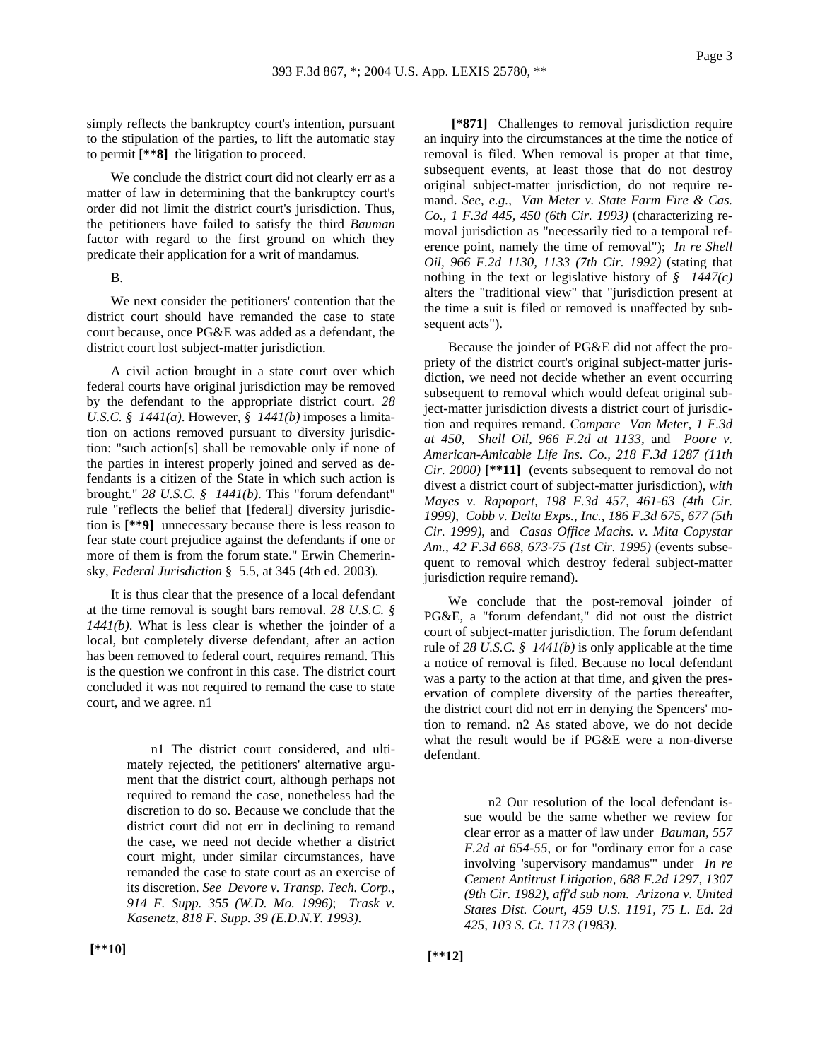simply reflects the bankruptcy court's intention, pursuant to the stipulation of the parties, to lift the automatic stay to permit **[\*\*8]** the litigation to proceed.

We conclude the district court did not clearly err as a matter of law in determining that the bankruptcy court's order did not limit the district court's jurisdiction. Thus, the petitioners have failed to satisfy the third *Bauman* factor with regard to the first ground on which they predicate their application for a writ of mandamus.

B.

We next consider the petitioners' contention that the district court should have remanded the case to state court because, once PG&E was added as a defendant, the district court lost subject-matter jurisdiction.

A civil action brought in a state court over which federal courts have original jurisdiction may be removed by the defendant to the appropriate district court. *28 U.S.C. § 1441(a)*. However, *§ 1441(b)* imposes a limitation on actions removed pursuant to diversity jurisdiction: "such action[s] shall be removable only if none of the parties in interest properly joined and served as defendants is a citizen of the State in which such action is brought." *28 U.S.C. § 1441(b)*. This "forum defendant" rule "reflects the belief that [federal] diversity jurisdiction is **[\*\*9]** unnecessary because there is less reason to fear state court prejudice against the defendants if one or more of them is from the forum state." Erwin Chemerinsky, *Federal Jurisdiction* § 5.5, at 345 (4th ed. 2003).

It is thus clear that the presence of a local defendant at the time removal is sought bars removal. *28 U.S.C. § 1441(b)*. What is less clear is whether the joinder of a local, but completely diverse defendant, after an action has been removed to federal court, requires remand. This is the question we confront in this case. The district court concluded it was not required to remand the case to state court, and we agree. n1

> n1 The district court considered, and ultimately rejected, the petitioners' alternative argument that the district court, although perhaps not required to remand the case, nonetheless had the discretion to do so. Because we conclude that the district court did not err in declining to remand the case, we need not decide whether a district court might, under similar circumstances, have remanded the case to state court as an exercise of its discretion. *See Devore v. Transp. Tech. Corp., 914 F. Supp. 355 (W.D. Mo. 1996)*; *Trask v. Kasenetz, 818 F. Supp. 39 (E.D.N.Y. 1993)*.

**[\*871]** Challenges to removal jurisdiction require an inquiry into the circumstances at the time the notice of removal is filed. When removal is proper at that time, subsequent events, at least those that do not destroy original subject-matter jurisdiction, do not require remand. *See*, *e.g.*, *Van Meter v. State Farm Fire & Cas. Co., 1 F.3d 445, 450 (6th Cir. 1993)* (characterizing removal jurisdiction as "necessarily tied to a temporal reference point, namely the time of removal"); *In re Shell Oil, 966 F.2d 1130, 1133 (7th Cir. 1992)* (stating that nothing in the text or legislative history of *§ 1447(c)* alters the "traditional view" that "jurisdiction present at the time a suit is filed or removed is unaffected by subsequent acts").

Because the joinder of PG&E did not affect the propriety of the district court's original subject-matter jurisdiction, we need not decide whether an event occurring subsequent to removal which would defeat original subject-matter jurisdiction divests a district court of jurisdiction and requires remand. *Compare Van Meter, 1 F.3d at 450*, *Shell Oil, 966 F.2d at 1133*, and *Poore v. American-Amicable Life Ins. Co., 218 F.3d 1287 (11th Cir. 2000)* **[\*\*11]** (events subsequent to removal do not divest a district court of subject-matter jurisdiction), *with Mayes v. Rapoport, 198 F.3d 457, 461-63 (4th Cir. 1999)*, *Cobb v. Delta Exps., Inc., 186 F.3d 675, 677 (5th Cir. 1999)*, and *Casas Office Machs. v. Mita Copystar Am., 42 F.3d 668, 673-75 (1st Cir. 1995)* (events subsequent to removal which destroy federal subject-matter jurisdiction require remand).

We conclude that the post-removal joinder of PG&E, a "forum defendant," did not oust the district court of subject-matter jurisdiction. The forum defendant rule of *28 U.S.C. § 1441(b)* is only applicable at the time a notice of removal is filed. Because no local defendant was a party to the action at that time, and given the preservation of complete diversity of the parties thereafter, the district court did not err in denying the Spencers' motion to remand. n2 As stated above, we do not decide what the result would be if PG&E were a non-diverse defendant.

> n2 Our resolution of the local defendant issue would be the same whether we review for clear error as a matter of law under *Bauman, 557 F.2d at 654-55*, or for "ordinary error for a case involving 'supervisory mandamus'" under *In re Cement Antitrust Litigation, 688 F.2d 1297, 1307 (9th Cir. 1982)*, *aff'd sub nom. Arizona v. United States Dist. Court, 459 U.S. 1191, 75 L. Ed. 2d 425, 103 S. Ct. 1173 (1983)*.